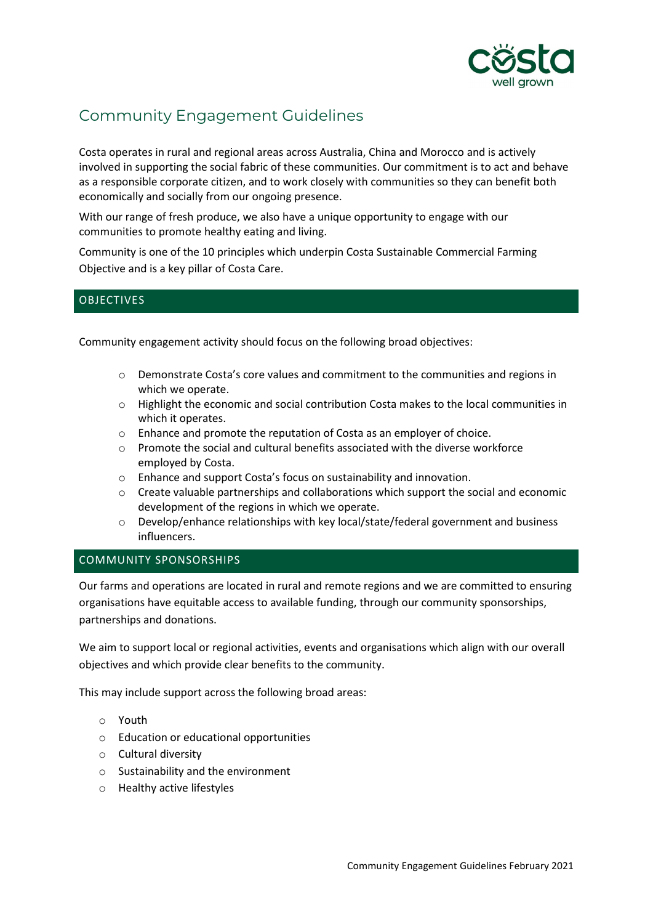

# Community Engagement Guidelines

Costa operates in rural and regional areas across Australia, China and Morocco and is actively involved in supporting the social fabric of these communities. Our commitment is to act and behave as a responsible corporate citizen, and to work closely with communities so they can benefit both economically and socially from our ongoing presence.

With our range of fresh produce, we also have a unique opportunity to engage with our communities to promote healthy eating and living.

Community is one of the 10 principles which underpin Costa Sustainable Commercial Farming Objective and is a key pillar of Costa Care.

## **OBJECTIVES**

Community engagement activity should focus on the following broad objectives:

- o Demonstrate Costa's core values and commitment to the communities and regions in which we operate.
- o Highlight the economic and social contribution Costa makes to the local communities in which it operates.
- o Enhance and promote the reputation of Costa as an employer of choice.
- $\circ$  Promote the social and cultural benefits associated with the diverse workforce employed by Costa.
- o Enhance and support Costa's focus on sustainability and innovation.
- o Create valuable partnerships and collaborations which support the social and economic development of the regions in which we operate.
- o Develop/enhance relationships with key local/state/federal government and business influencers.

## COMMUNITY SPONSORSHIPS

Our farms and operations are located in rural and remote regions and we are committed to ensuring organisations have equitable access to available funding, through our community sponsorships, partnerships and donations.

We aim to support local or regional activities, events and organisations which align with our overall objectives and which provide clear benefits to the community.

This may include support across the following broad areas:

- o Youth
- o Education or educational opportunities
- o Cultural diversity
- o Sustainability and the environment
- o Healthy active lifestyles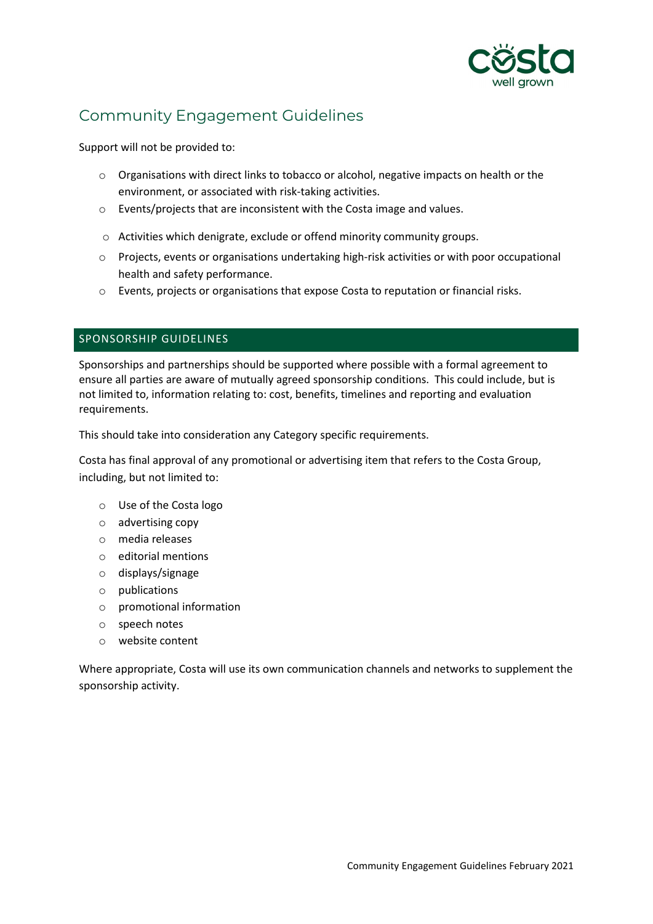

# Community Engagement Guidelines

Support will not be provided to:

- o Organisations with direct links to tobacco or alcohol, negative impacts on health or the environment, or associated with risk-taking activities.
- o Events/projects that are inconsistent with the Costa image and values.
- o Activities which denigrate, exclude or offend minority community groups.
- o Projects, events or organisations undertaking high-risk activities or with poor occupational health and safety performance.
- o Events, projects or organisations that expose Costa to reputation or financial risks.

## SPONSORSHIP GUIDELINES

Sponsorships and partnerships should be supported where possible with a formal agreement to ensure all parties are aware of mutually agreed sponsorship conditions. This could include, but is not limited to, information relating to: cost, benefits, timelines and reporting and evaluation requirements.

This should take into consideration any Category specific requirements.

Costa has final approval of any promotional or advertising item that refers to the Costa Group, including, but not limited to:

- o Use of the Costa logo
- o advertising copy
- o media releases
- o editorial mentions
- o displays/signage
- o publications
- o promotional information
- o speech notes
- o website content

Where appropriate, Costa will use its own communication channels and networks to supplement the sponsorship activity.